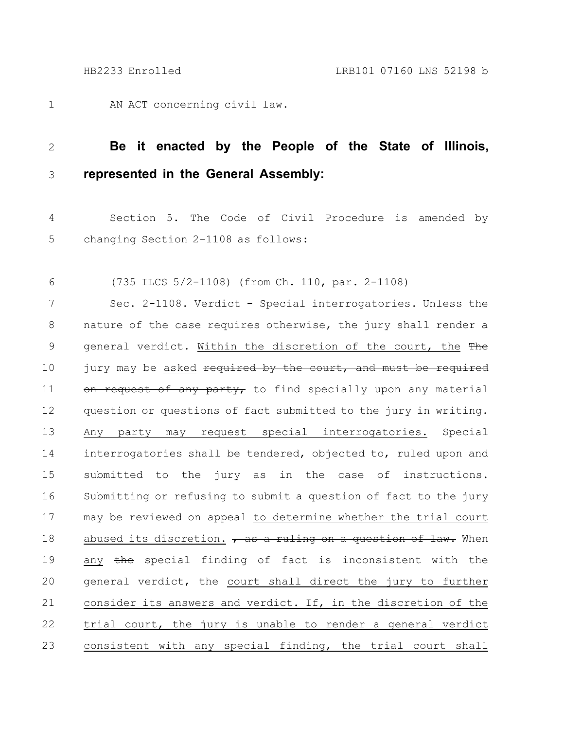AN ACT concerning civil law. 1

## **Be it enacted by the People of the State of Illinois, represented in the General Assembly:** 2 3

Section 5. The Code of Civil Procedure is amended by changing Section 2-1108 as follows: 4 5

(735 ILCS 5/2-1108) (from Ch. 110, par. 2-1108) 6

Sec. 2-1108. Verdict - Special interrogatories. Unless the nature of the case requires otherwise, the jury shall render a general verdict. Within the discretion of the court, the The jury may be asked required by the court, and must be required on request of any party, to find specially upon any material question or questions of fact submitted to the jury in writing. Any party may request special interrogatories. Special interrogatories shall be tendered, objected to, ruled upon and submitted to the jury as in the case of instructions. Submitting or refusing to submit a question of fact to the jury may be reviewed on appeal to determine whether the trial court abused its discretion. , as a ruling on a question of law. When any the special finding of fact is inconsistent with the general verdict, the court shall direct the jury to further consider its answers and verdict. If, in the discretion of the trial court, the jury is unable to render a general verdict consistent with any special finding, the trial court shall 7 8 9 10 11 12 13 14 15 16 17 18 19 20 21 22 23